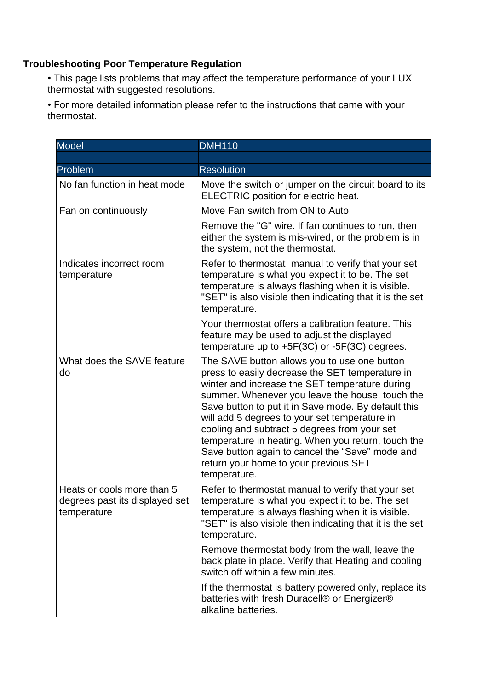## **Troubleshooting Poor Temperature Regulation**

• This page lists problems that may affect the temperature performance of your LUX thermostat with suggested resolutions.

• For more detailed information please refer to the instructions that came with your thermostat.

| <b>Model</b>                                                                | <b>DMH110</b>                                                                                                                                                                                                                                                                                                                                                                                                                                                                                                                  |
|-----------------------------------------------------------------------------|--------------------------------------------------------------------------------------------------------------------------------------------------------------------------------------------------------------------------------------------------------------------------------------------------------------------------------------------------------------------------------------------------------------------------------------------------------------------------------------------------------------------------------|
|                                                                             |                                                                                                                                                                                                                                                                                                                                                                                                                                                                                                                                |
| Problem                                                                     | <b>Resolution</b>                                                                                                                                                                                                                                                                                                                                                                                                                                                                                                              |
| No fan function in heat mode                                                | Move the switch or jumper on the circuit board to its<br><b>ELECTRIC</b> position for electric heat.                                                                                                                                                                                                                                                                                                                                                                                                                           |
| Fan on continuously                                                         | Move Fan switch from ON to Auto                                                                                                                                                                                                                                                                                                                                                                                                                                                                                                |
|                                                                             | Remove the "G" wire. If fan continues to run, then<br>either the system is mis-wired, or the problem is in<br>the system, not the thermostat.                                                                                                                                                                                                                                                                                                                                                                                  |
| Indicates incorrect room<br>temperature                                     | Refer to thermostat manual to verify that your set<br>temperature is what you expect it to be. The set<br>temperature is always flashing when it is visible.<br>"SET" is also visible then indicating that it is the set<br>temperature.                                                                                                                                                                                                                                                                                       |
|                                                                             | Your thermostat offers a calibration feature. This<br>feature may be used to adjust the displayed<br>temperature up to $+5F(3C)$ or $-5F(3C)$ degrees.                                                                                                                                                                                                                                                                                                                                                                         |
| What does the SAVE feature<br>do                                            | The SAVE button allows you to use one button<br>press to easily decrease the SET temperature in<br>winter and increase the SET temperature during<br>summer. Whenever you leave the house, touch the<br>Save button to put it in Save mode. By default this<br>will add 5 degrees to your set temperature in<br>cooling and subtract 5 degrees from your set<br>temperature in heating. When you return, touch the<br>Save button again to cancel the "Save" mode and<br>return your home to your previous SET<br>temperature. |
| Heats or cools more than 5<br>degrees past its displayed set<br>temperature | Refer to thermostat manual to verify that your set<br>temperature is what you expect it to be. The set<br>temperature is always flashing when it is visible.<br>"SET" is also visible then indicating that it is the set<br>temperature.                                                                                                                                                                                                                                                                                       |
|                                                                             | Remove thermostat body from the wall, leave the<br>back plate in place. Verify that Heating and cooling<br>switch off within a few minutes.                                                                                                                                                                                                                                                                                                                                                                                    |
|                                                                             | If the thermostat is battery powered only, replace its<br>batteries with fresh Duracell® or Energizer®<br>alkaline batteries.                                                                                                                                                                                                                                                                                                                                                                                                  |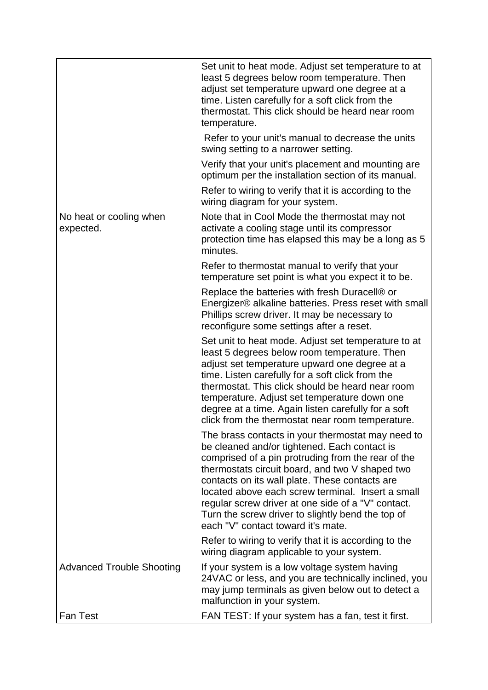|                                      | Set unit to heat mode. Adjust set temperature to at<br>least 5 degrees below room temperature. Then<br>adjust set temperature upward one degree at a<br>time. Listen carefully for a soft click from the<br>thermostat. This click should be heard near room<br>temperature.                                                                                                                                                                                       |
|--------------------------------------|--------------------------------------------------------------------------------------------------------------------------------------------------------------------------------------------------------------------------------------------------------------------------------------------------------------------------------------------------------------------------------------------------------------------------------------------------------------------|
|                                      | Refer to your unit's manual to decrease the units<br>swing setting to a narrower setting.                                                                                                                                                                                                                                                                                                                                                                          |
|                                      | Verify that your unit's placement and mounting are<br>optimum per the installation section of its manual.                                                                                                                                                                                                                                                                                                                                                          |
|                                      | Refer to wiring to verify that it is according to the<br>wiring diagram for your system.                                                                                                                                                                                                                                                                                                                                                                           |
| No heat or cooling when<br>expected. | Note that in Cool Mode the thermostat may not<br>activate a cooling stage until its compressor<br>protection time has elapsed this may be a long as 5<br>minutes.                                                                                                                                                                                                                                                                                                  |
|                                      | Refer to thermostat manual to verify that your<br>temperature set point is what you expect it to be.                                                                                                                                                                                                                                                                                                                                                               |
|                                      | Replace the batteries with fresh Duracell® or<br>Energizer® alkaline batteries. Press reset with small<br>Phillips screw driver. It may be necessary to<br>reconfigure some settings after a reset.                                                                                                                                                                                                                                                                |
|                                      | Set unit to heat mode. Adjust set temperature to at<br>least 5 degrees below room temperature. Then<br>adjust set temperature upward one degree at a<br>time. Listen carefully for a soft click from the<br>thermostat. This click should be heard near room<br>temperature. Adjust set temperature down one<br>degree at a time. Again listen carefully for a soft<br>click from the thermostat near room temperature.                                            |
|                                      | The brass contacts in your thermostat may need to<br>be cleaned and/or tightened. Each contact is<br>comprised of a pin protruding from the rear of the<br>thermostats circuit board, and two V shaped two<br>contacts on its wall plate. These contacts are<br>located above each screw terminal. Insert a small<br>regular screw driver at one side of a "V" contact.<br>Turn the screw driver to slightly bend the top of<br>each "V" contact toward it's mate. |
|                                      | Refer to wiring to verify that it is according to the<br>wiring diagram applicable to your system.                                                                                                                                                                                                                                                                                                                                                                 |
| <b>Advanced Trouble Shooting</b>     | If your system is a low voltage system having<br>24VAC or less, and you are technically inclined, you<br>may jump terminals as given below out to detect a<br>malfunction in your system.                                                                                                                                                                                                                                                                          |
| <b>Fan Test</b>                      | FAN TEST: If your system has a fan, test it first.                                                                                                                                                                                                                                                                                                                                                                                                                 |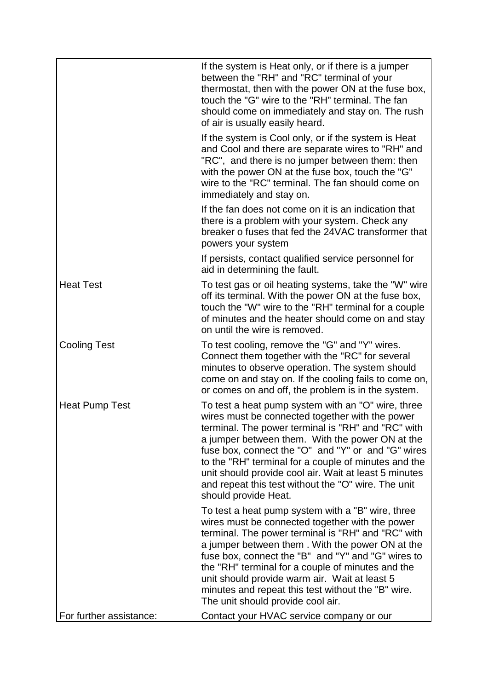|                         | If the system is Heat only, or if there is a jumper<br>between the "RH" and "RC" terminal of your<br>thermostat, then with the power ON at the fuse box,<br>touch the "G" wire to the "RH" terminal. The fan<br>should come on immediately and stay on. The rush<br>of air is usually easily heard.                                                                                                                                                                  |
|-------------------------|----------------------------------------------------------------------------------------------------------------------------------------------------------------------------------------------------------------------------------------------------------------------------------------------------------------------------------------------------------------------------------------------------------------------------------------------------------------------|
|                         | If the system is Cool only, or if the system is Heat<br>and Cool and there are separate wires to "RH" and<br>"RC", and there is no jumper between them: then<br>with the power ON at the fuse box, touch the "G"<br>wire to the "RC" terminal. The fan should come on<br>immediately and stay on.                                                                                                                                                                    |
|                         | If the fan does not come on it is an indication that<br>there is a problem with your system. Check any<br>breaker o fuses that fed the 24VAC transformer that<br>powers your system                                                                                                                                                                                                                                                                                  |
|                         | If persists, contact qualified service personnel for<br>aid in determining the fault.                                                                                                                                                                                                                                                                                                                                                                                |
| <b>Heat Test</b>        | To test gas or oil heating systems, take the "W" wire<br>off its terminal. With the power ON at the fuse box,<br>touch the "W" wire to the "RH" terminal for a couple<br>of minutes and the heater should come on and stay<br>on until the wire is removed.                                                                                                                                                                                                          |
| <b>Cooling Test</b>     | To test cooling, remove the "G" and "Y" wires.<br>Connect them together with the "RC" for several<br>minutes to observe operation. The system should<br>come on and stay on. If the cooling fails to come on,<br>or comes on and off, the problem is in the system.                                                                                                                                                                                                  |
| <b>Heat Pump Test</b>   | To test a heat pump system with an "O" wire, three<br>wires must be connected together with the power<br>terminal. The power terminal is "RH" and "RC" with<br>a jumper between them. With the power ON at the<br>fuse box, connect the "O" and "Y" or and "G" wires<br>to the "RH" terminal for a couple of minutes and the<br>unit should provide cool air. Wait at least 5 minutes<br>and repeat this test without the "O" wire. The unit<br>should provide Heat. |
|                         | To test a heat pump system with a "B" wire, three<br>wires must be connected together with the power<br>terminal. The power terminal is "RH" and "RC" with<br>a jumper between them. With the power ON at the<br>fuse box, connect the "B" and "Y" and "G" wires to<br>the "RH" terminal for a couple of minutes and the<br>unit should provide warm air. Wait at least 5<br>minutes and repeat this test without the "B" wire.<br>The unit should provide cool air. |
| For further assistance: | Contact your HVAC service company or our                                                                                                                                                                                                                                                                                                                                                                                                                             |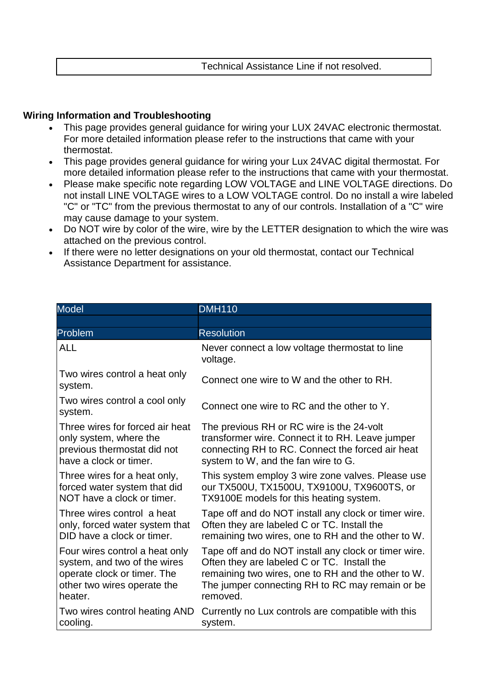Technical Assistance Line if not resolved.

## **Wiring Information and Troubleshooting**

- This page provides general guidance for wiring your LUX 24VAC electronic thermostat. For more detailed information please refer to the instructions that came with your thermostat.
- This page provides general guidance for wiring your Lux 24VAC digital thermostat. For more detailed information please refer to the instructions that came with your thermostat.
- Please make specific note regarding LOW VOLTAGE and LINE VOLTAGE directions. Do not install LINE VOLTAGE wires to a LOW VOLTAGE control. Do no install a wire labeled "C" or "TC" from the previous thermostat to any of our controls. Installation of a "C" wire may cause damage to your system.
- Do NOT wire by color of the wire, wire by the LETTER designation to which the wire was attached on the previous control.
- If there were no letter designations on your old thermostat, contact our Technical Assistance Department for assistance.

| <b>Model</b>                                                                                                                            | <b>DMH110</b>                                                                                                                                                                                                            |
|-----------------------------------------------------------------------------------------------------------------------------------------|--------------------------------------------------------------------------------------------------------------------------------------------------------------------------------------------------------------------------|
|                                                                                                                                         |                                                                                                                                                                                                                          |
| Problem                                                                                                                                 | <b>Resolution</b>                                                                                                                                                                                                        |
| <b>ALL</b>                                                                                                                              | Never connect a low voltage thermostat to line<br>voltage.                                                                                                                                                               |
| Two wires control a heat only<br>system.                                                                                                | Connect one wire to W and the other to RH.                                                                                                                                                                               |
| Two wires control a cool only<br>system.                                                                                                | Connect one wire to RC and the other to Y.                                                                                                                                                                               |
| Three wires for forced air heat<br>only system, where the<br>previous thermostat did not<br>have a clock or timer.                      | The previous RH or RC wire is the 24-volt<br>transformer wire. Connect it to RH. Leave jumper<br>connecting RH to RC. Connect the forced air heat<br>system to W, and the fan wire to G.                                 |
| Three wires for a heat only,<br>forced water system that did<br>NOT have a clock or timer.                                              | This system employ 3 wire zone valves. Please use<br>our TX500U, TX1500U, TX9100U, TX9600TS, or<br>TX9100E models for this heating system.                                                                               |
| Three wires control a heat<br>only, forced water system that<br>DID have a clock or timer.                                              | Tape off and do NOT install any clock or timer wire.<br>Often they are labeled C or TC. Install the<br>remaining two wires, one to RH and the other to W.                                                                |
| Four wires control a heat only<br>system, and two of the wires<br>operate clock or timer. The<br>other two wires operate the<br>heater. | Tape off and do NOT install any clock or timer wire.<br>Often they are labeled C or TC. Install the<br>remaining two wires, one to RH and the other to W.<br>The jumper connecting RH to RC may remain or be<br>removed. |
| Two wires control heating AND<br>cooling.                                                                                               | Currently no Lux controls are compatible with this<br>system.                                                                                                                                                            |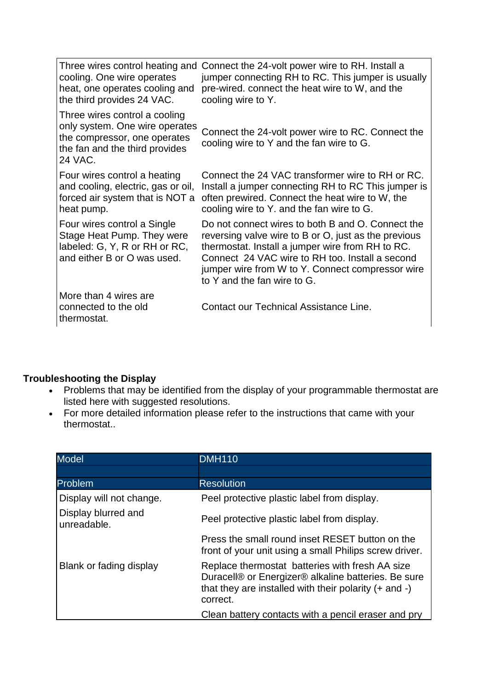| cooling. One wire operates<br>heat, one operates cooling and<br>the third provides 24 VAC.                                                   | Three wires control heating and Connect the 24-volt power wire to RH. Install a<br>jumper connecting RH to RC. This jumper is usually<br>pre-wired. connect the heat wire to W, and the<br>cooling wire to Y.                                                                                       |
|----------------------------------------------------------------------------------------------------------------------------------------------|-----------------------------------------------------------------------------------------------------------------------------------------------------------------------------------------------------------------------------------------------------------------------------------------------------|
| Three wires control a cooling<br>only system. One wire operates<br>the compressor, one operates<br>the fan and the third provides<br>24 VAC. | Connect the 24-volt power wire to RC. Connect the<br>cooling wire to Y and the fan wire to G.                                                                                                                                                                                                       |
| Four wires control a heating<br>and cooling, electric, gas or oil,<br>forced air system that is NOT a<br>heat pump.                          | Connect the 24 VAC transformer wire to RH or RC.<br>Install a jumper connecting RH to RC This jumper is<br>often prewired. Connect the heat wire to W, the<br>cooling wire to Y. and the fan wire to G.                                                                                             |
| Four wires control a Single<br>Stage Heat Pump. They were<br>labeled: G, Y, R or RH or RC,<br>and either B or O was used.                    | Do not connect wires to both B and O. Connect the<br>reversing valve wire to B or O, just as the previous<br>thermostat. Install a jumper wire from RH to RC.<br>Connect 24 VAC wire to RH too. Install a second<br>jumper wire from W to Y. Connect compressor wire<br>to Y and the fan wire to G. |
| More than 4 wires are<br>connected to the old<br>thermostat.                                                                                 | Contact our Technical Assistance Line.                                                                                                                                                                                                                                                              |

## **Troubleshooting the Display**

- Problems that may be identified from the display of your programmable thermostat are listed here with suggested resolutions.
- For more detailed information please refer to the instructions that came with your thermostat..

| <b>Model</b>                       | <b>DMH110</b>                                                                                                                                                                    |
|------------------------------------|----------------------------------------------------------------------------------------------------------------------------------------------------------------------------------|
|                                    |                                                                                                                                                                                  |
| Problem                            | <b>Resolution</b>                                                                                                                                                                |
| Display will not change.           | Peel protective plastic label from display.                                                                                                                                      |
| Display blurred and<br>unreadable. | Peel protective plastic label from display.                                                                                                                                      |
|                                    | Press the small round inset RESET button on the<br>front of your unit using a small Philips screw driver.                                                                        |
| Blank or fading display            | Replace thermostat batteries with fresh AA size<br>Duracell® or Energizer® alkaline batteries. Be sure<br>that they are installed with their polarity $(+)$ and $-)$<br>correct. |
|                                    | Clean battery contacts with a pencil eraser and pry                                                                                                                              |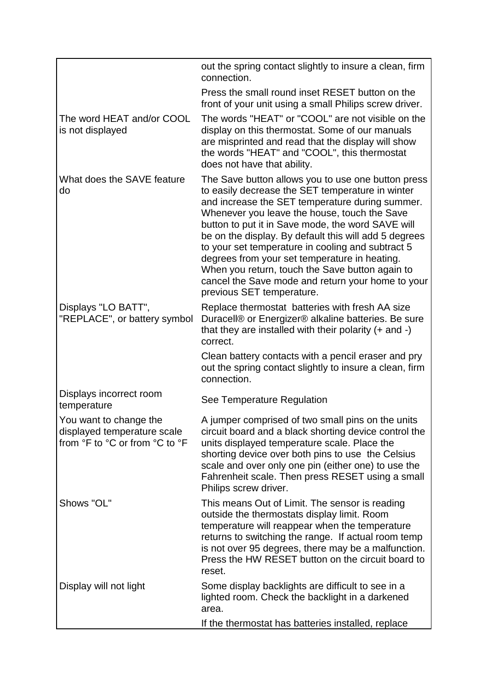|                                                                                         | out the spring contact slightly to insure a clean, firm<br>connection.                                                                                                                                                                                                                                                                                                                                                                                                                                                                                             |
|-----------------------------------------------------------------------------------------|--------------------------------------------------------------------------------------------------------------------------------------------------------------------------------------------------------------------------------------------------------------------------------------------------------------------------------------------------------------------------------------------------------------------------------------------------------------------------------------------------------------------------------------------------------------------|
|                                                                                         | Press the small round inset RESET button on the<br>front of your unit using a small Philips screw driver.                                                                                                                                                                                                                                                                                                                                                                                                                                                          |
| The word HEAT and/or COOL<br>is not displayed                                           | The words "HEAT" or "COOL" are not visible on the<br>display on this thermostat. Some of our manuals<br>are misprinted and read that the display will show<br>the words "HEAT" and "COOL", this thermostat<br>does not have that ability.                                                                                                                                                                                                                                                                                                                          |
| What does the SAVE feature<br>do                                                        | The Save button allows you to use one button press<br>to easily decrease the SET temperature in winter<br>and increase the SET temperature during summer.<br>Whenever you leave the house, touch the Save<br>button to put it in Save mode, the word SAVE will<br>be on the display. By default this will add 5 degrees<br>to your set temperature in cooling and subtract 5<br>degrees from your set temperature in heating.<br>When you return, touch the Save button again to<br>cancel the Save mode and return your home to your<br>previous SET temperature. |
| Displays "LO BATT",<br>"REPLACE", or battery symbol                                     | Replace thermostat batteries with fresh AA size<br>Duracell® or Energizer® alkaline batteries. Be sure<br>that they are installed with their polarity $(+)$ and $-)$<br>correct.                                                                                                                                                                                                                                                                                                                                                                                   |
|                                                                                         | Clean battery contacts with a pencil eraser and pry<br>out the spring contact slightly to insure a clean, firm<br>connection.                                                                                                                                                                                                                                                                                                                                                                                                                                      |
| Displays incorrect room<br>temperature                                                  | See Temperature Regulation                                                                                                                                                                                                                                                                                                                                                                                                                                                                                                                                         |
| You want to change the<br>displayed temperature scale<br>from °F to °C or from °C to °F | A jumper comprised of two small pins on the units<br>circuit board and a black shorting device control the<br>units displayed temperature scale. Place the<br>shorting device over both pins to use the Celsius<br>scale and over only one pin (either one) to use the<br>Fahrenheit scale. Then press RESET using a small<br>Philips screw driver.                                                                                                                                                                                                                |
| Shows "OL"                                                                              | This means Out of Limit. The sensor is reading<br>outside the thermostats display limit. Room<br>temperature will reappear when the temperature<br>returns to switching the range. If actual room temp<br>is not over 95 degrees, there may be a malfunction.<br>Press the HW RESET button on the circuit board to<br>reset.                                                                                                                                                                                                                                       |
| Display will not light                                                                  | Some display backlights are difficult to see in a<br>lighted room. Check the backlight in a darkened<br>area.<br>If the thermostat has batteries installed, replace                                                                                                                                                                                                                                                                                                                                                                                                |